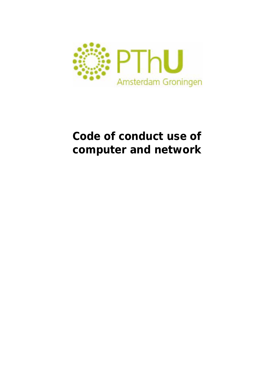

## **Code of conduct use of computer and network**